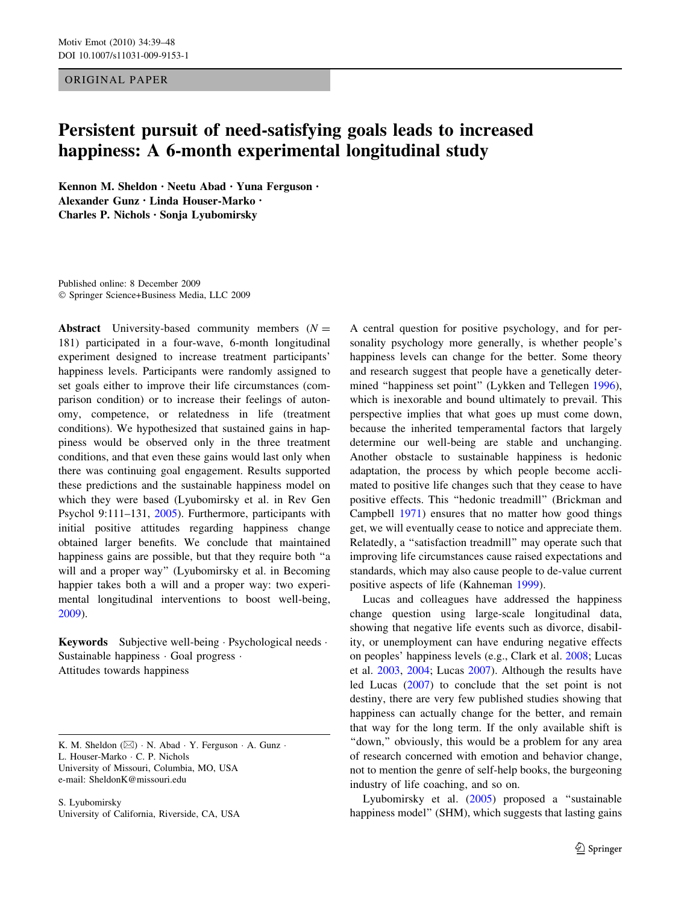ORIGINAL PAPER

# Persistent pursuit of need-satisfying goals leads to increased happiness: A 6-month experimental longitudinal study

Kennon M. Sheldon • Neetu Abad • Yuna Ferguson • Alexander Gunz • Linda Houser-Marko • Charles P. Nichols • Sonja Lyubomirsky

Published online: 8 December 2009 Springer Science+Business Media, LLC 2009

Abstract University-based community members  $(N =$ 181) participated in a four-wave, 6-month longitudinal experiment designed to increase treatment participants' happiness levels. Participants were randomly assigned to set goals either to improve their life circumstances (comparison condition) or to increase their feelings of autonomy, competence, or relatedness in life (treatment conditions). We hypothesized that sustained gains in happiness would be observed only in the three treatment conditions, and that even these gains would last only when there was continuing goal engagement. Results supported these predictions and the sustainable happiness model on which they were based (Lyubomirsky et al. in Rev Gen Psychol 9:111–131, [2005](#page-9-0)). Furthermore, participants with initial positive attitudes regarding happiness change obtained larger benefits. We conclude that maintained happiness gains are possible, but that they require both ''a will and a proper way'' (Lyubomirsky et al. in Becoming happier takes both a will and a proper way: two experimental longitudinal interventions to boost well-being, [2009\)](#page-9-0).

Keywords Subjective well-being  $\cdot$  Psychological needs  $\cdot$ Sustainable happiness · Goal progress · Attitudes towards happiness

K. M. Sheldon  $(\boxtimes) \cdot N$ . Abad  $\cdot Y$ . Ferguson  $\cdot A$ . Gunz  $\cdot$ L. Houser-Marko · C. P. Nichols University of Missouri, Columbia, MO, USA e-mail: SheldonK@missouri.edu

S. Lyubomirsky University of California, Riverside, CA, USA A central question for positive psychology, and for personality psychology more generally, is whether people's happiness levels can change for the better. Some theory and research suggest that people have a genetically deter-mined "happiness set point" (Lykken and Tellegen [1996](#page-9-0)), which is inexorable and bound ultimately to prevail. This perspective implies that what goes up must come down, because the inherited temperamental factors that largely determine our well-being are stable and unchanging. Another obstacle to sustainable happiness is hedonic adaptation, the process by which people become acclimated to positive life changes such that they cease to have positive effects. This ''hedonic treadmill'' (Brickman and Campbell [1971](#page-9-0)) ensures that no matter how good things get, we will eventually cease to notice and appreciate them. Relatedly, a ''satisfaction treadmill'' may operate such that improving life circumstances cause raised expectations and standards, which may also cause people to de-value current positive aspects of life (Kahneman [1999\)](#page-9-0).

Lucas and colleagues have addressed the happiness change question using large-scale longitudinal data, showing that negative life events such as divorce, disability, or unemployment can have enduring negative effects on peoples' happiness levels (e.g., Clark et al. [2008;](#page-9-0) Lucas et al. [2003](#page-9-0), [2004;](#page-9-0) Lucas [2007\)](#page-9-0). Although the results have led Lucas [\(2007](#page-9-0)) to conclude that the set point is not destiny, there are very few published studies showing that happiness can actually change for the better, and remain that way for the long term. If the only available shift is "down," obviously, this would be a problem for any area of research concerned with emotion and behavior change, not to mention the genre of self-help books, the burgeoning industry of life coaching, and so on.

Lyubomirsky et al. ([2005\)](#page-9-0) proposed a ''sustainable happiness model" (SHM), which suggests that lasting gains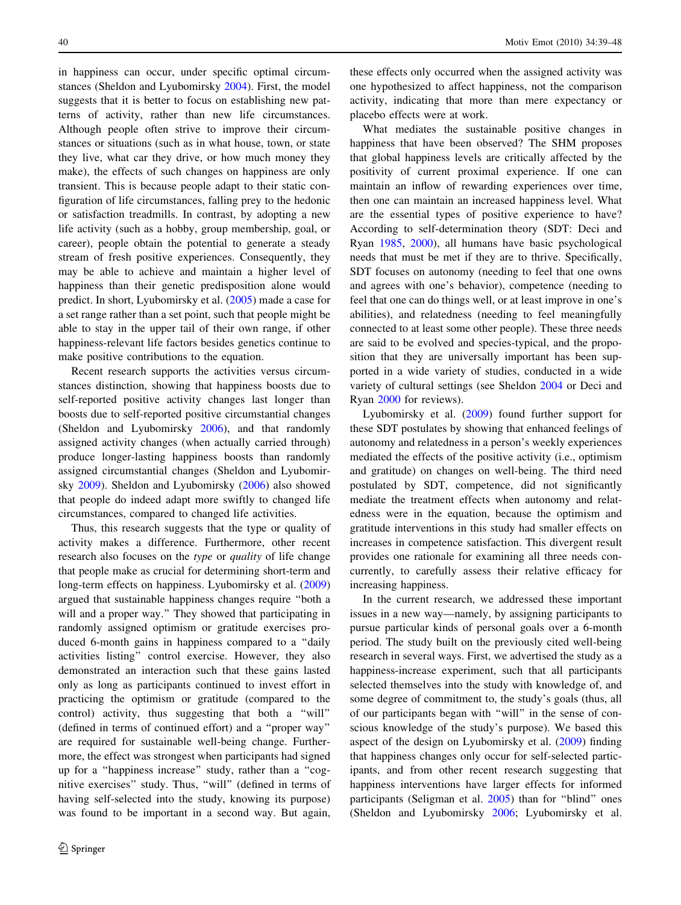in happiness can occur, under specific optimal circumstances (Sheldon and Lyubomirsky [2004](#page-9-0)). First, the model suggests that it is better to focus on establishing new patterns of activity, rather than new life circumstances. Although people often strive to improve their circumstances or situations (such as in what house, town, or state they live, what car they drive, or how much money they make), the effects of such changes on happiness are only transient. This is because people adapt to their static configuration of life circumstances, falling prey to the hedonic or satisfaction treadmills. In contrast, by adopting a new life activity (such as a hobby, group membership, goal, or career), people obtain the potential to generate a steady stream of fresh positive experiences. Consequently, they may be able to achieve and maintain a higher level of happiness than their genetic predisposition alone would predict. In short, Lyubomirsky et al. [\(2005\)](#page-9-0) made a case for a set range rather than a set point, such that people might be able to stay in the upper tail of their own range, if other happiness-relevant life factors besides genetics continue to make positive contributions to the equation.

Recent research supports the activities versus circumstances distinction, showing that happiness boosts due to self-reported positive activity changes last longer than boosts due to self-reported positive circumstantial changes (Sheldon and Lyubomirsky [2006](#page-9-0)), and that randomly assigned activity changes (when actually carried through) produce longer-lasting happiness boosts than randomly assigned circumstantial changes (Sheldon and Lyubomirsky [2009](#page-9-0)). Sheldon and Lyubomirsky [\(2006](#page-9-0)) also showed that people do indeed adapt more swiftly to changed life circumstances, compared to changed life activities.

Thus, this research suggests that the type or quality of activity makes a difference. Furthermore, other recent research also focuses on the type or quality of life change that people make as crucial for determining short-term and long-term effects on happiness. Lyubomirsky et al. ([2009\)](#page-9-0) argued that sustainable happiness changes require ''both a will and a proper way." They showed that participating in randomly assigned optimism or gratitude exercises produced 6-month gains in happiness compared to a ''daily activities listing'' control exercise. However, they also demonstrated an interaction such that these gains lasted only as long as participants continued to invest effort in practicing the optimism or gratitude (compared to the control) activity, thus suggesting that both a ''will'' (defined in terms of continued effort) and a ''proper way'' are required for sustainable well-being change. Furthermore, the effect was strongest when participants had signed up for a ''happiness increase'' study, rather than a ''cognitive exercises'' study. Thus, ''will'' (defined in terms of having self-selected into the study, knowing its purpose) was found to be important in a second way. But again,

these effects only occurred when the assigned activity was one hypothesized to affect happiness, not the comparison activity, indicating that more than mere expectancy or placebo effects were at work.

What mediates the sustainable positive changes in happiness that have been observed? The SHM proposes that global happiness levels are critically affected by the positivity of current proximal experience. If one can maintain an inflow of rewarding experiences over time, then one can maintain an increased happiness level. What are the essential types of positive experience to have? According to self-determination theory (SDT: Deci and Ryan [1985,](#page-9-0) [2000\)](#page-9-0), all humans have basic psychological needs that must be met if they are to thrive. Specifically, SDT focuses on autonomy (needing to feel that one owns and agrees with one's behavior), competence (needing to feel that one can do things well, or at least improve in one's abilities), and relatedness (needing to feel meaningfully connected to at least some other people). These three needs are said to be evolved and species-typical, and the proposition that they are universally important has been supported in a wide variety of studies, conducted in a wide variety of cultural settings (see Sheldon [2004](#page-9-0) or Deci and Ryan [2000](#page-9-0) for reviews).

Lyubomirsky et al. ([2009\)](#page-9-0) found further support for these SDT postulates by showing that enhanced feelings of autonomy and relatedness in a person's weekly experiences mediated the effects of the positive activity (i.e., optimism and gratitude) on changes on well-being. The third need postulated by SDT, competence, did not significantly mediate the treatment effects when autonomy and relatedness were in the equation, because the optimism and gratitude interventions in this study had smaller effects on increases in competence satisfaction. This divergent result provides one rationale for examining all three needs concurrently, to carefully assess their relative efficacy for increasing happiness.

In the current research, we addressed these important issues in a new way—namely, by assigning participants to pursue particular kinds of personal goals over a 6-month period. The study built on the previously cited well-being research in several ways. First, we advertised the study as a happiness-increase experiment, such that all participants selected themselves into the study with knowledge of, and some degree of commitment to, the study's goals (thus, all of our participants began with ''will'' in the sense of conscious knowledge of the study's purpose). We based this aspect of the design on Lyubomirsky et al. [\(2009](#page-9-0)) finding that happiness changes only occur for self-selected participants, and from other recent research suggesting that happiness interventions have larger effects for informed participants (Seligman et al. [2005\)](#page-9-0) than for ''blind'' ones (Sheldon and Lyubomirsky [2006;](#page-9-0) Lyubomirsky et al.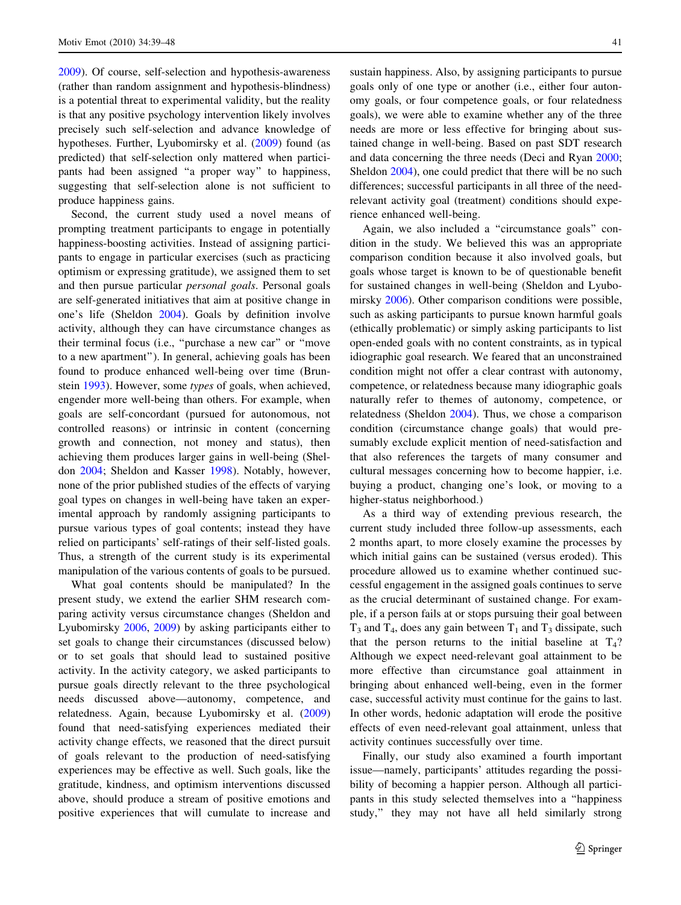[2009\)](#page-9-0). Of course, self-selection and hypothesis-awareness (rather than random assignment and hypothesis-blindness) is a potential threat to experimental validity, but the reality is that any positive psychology intervention likely involves precisely such self-selection and advance knowledge of hypotheses. Further, Lyubomirsky et al. [\(2009](#page-9-0)) found (as predicted) that self-selection only mattered when participants had been assigned ''a proper way'' to happiness, suggesting that self-selection alone is not sufficient to produce happiness gains.

Second, the current study used a novel means of prompting treatment participants to engage in potentially happiness-boosting activities. Instead of assigning participants to engage in particular exercises (such as practicing optimism or expressing gratitude), we assigned them to set and then pursue particular personal goals. Personal goals are self-generated initiatives that aim at positive change in one's life (Sheldon [2004](#page-9-0)). Goals by definition involve activity, although they can have circumstance changes as their terminal focus (i.e., ''purchase a new car'' or ''move to a new apartment''). In general, achieving goals has been found to produce enhanced well-being over time (Brunstein [1993\)](#page-9-0). However, some types of goals, when achieved, engender more well-being than others. For example, when goals are self-concordant (pursued for autonomous, not controlled reasons) or intrinsic in content (concerning growth and connection, not money and status), then achieving them produces larger gains in well-being (Sheldon [2004](#page-9-0); Sheldon and Kasser [1998\)](#page-9-0). Notably, however, none of the prior published studies of the effects of varying goal types on changes in well-being have taken an experimental approach by randomly assigning participants to pursue various types of goal contents; instead they have relied on participants' self-ratings of their self-listed goals. Thus, a strength of the current study is its experimental manipulation of the various contents of goals to be pursued.

What goal contents should be manipulated? In the present study, we extend the earlier SHM research comparing activity versus circumstance changes (Sheldon and Lyubomirsky [2006](#page-9-0), [2009](#page-9-0)) by asking participants either to set goals to change their circumstances (discussed below) or to set goals that should lead to sustained positive activity. In the activity category, we asked participants to pursue goals directly relevant to the three psychological needs discussed above—autonomy, competence, and relatedness. Again, because Lyubomirsky et al. ([2009\)](#page-9-0) found that need-satisfying experiences mediated their activity change effects, we reasoned that the direct pursuit of goals relevant to the production of need-satisfying experiences may be effective as well. Such goals, like the gratitude, kindness, and optimism interventions discussed above, should produce a stream of positive emotions and positive experiences that will cumulate to increase and sustain happiness. Also, by assigning participants to pursue goals only of one type or another (i.e., either four autonomy goals, or four competence goals, or four relatedness goals), we were able to examine whether any of the three needs are more or less effective for bringing about sustained change in well-being. Based on past SDT research and data concerning the three needs (Deci and Ryan [2000](#page-9-0); Sheldon [2004\)](#page-9-0), one could predict that there will be no such differences; successful participants in all three of the needrelevant activity goal (treatment) conditions should experience enhanced well-being.

Again, we also included a ''circumstance goals'' condition in the study. We believed this was an appropriate comparison condition because it also involved goals, but goals whose target is known to be of questionable benefit for sustained changes in well-being (Sheldon and Lyubomirsky [2006\)](#page-9-0). Other comparison conditions were possible, such as asking participants to pursue known harmful goals (ethically problematic) or simply asking participants to list open-ended goals with no content constraints, as in typical idiographic goal research. We feared that an unconstrained condition might not offer a clear contrast with autonomy, competence, or relatedness because many idiographic goals naturally refer to themes of autonomy, competence, or relatedness (Sheldon [2004](#page-9-0)). Thus, we chose a comparison condition (circumstance change goals) that would presumably exclude explicit mention of need-satisfaction and that also references the targets of many consumer and cultural messages concerning how to become happier, i.e. buying a product, changing one's look, or moving to a higher-status neighborhood.)

As a third way of extending previous research, the current study included three follow-up assessments, each 2 months apart, to more closely examine the processes by which initial gains can be sustained (versus eroded). This procedure allowed us to examine whether continued successful engagement in the assigned goals continues to serve as the crucial determinant of sustained change. For example, if a person fails at or stops pursuing their goal between  $T_3$  and  $T_4$ , does any gain between  $T_1$  and  $T_3$  dissipate, such that the person returns to the initial baseline at  $T_4$ ? Although we expect need-relevant goal attainment to be more effective than circumstance goal attainment in bringing about enhanced well-being, even in the former case, successful activity must continue for the gains to last. In other words, hedonic adaptation will erode the positive effects of even need-relevant goal attainment, unless that activity continues successfully over time.

Finally, our study also examined a fourth important issue—namely, participants' attitudes regarding the possibility of becoming a happier person. Although all participants in this study selected themselves into a ''happiness study,'' they may not have all held similarly strong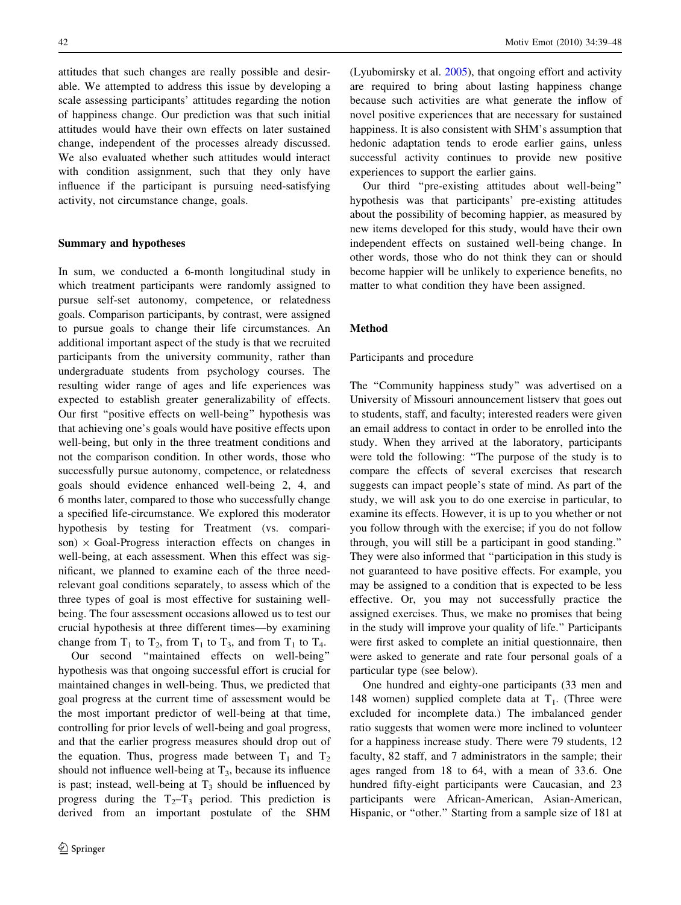attitudes that such changes are really possible and desirable. We attempted to address this issue by developing a scale assessing participants' attitudes regarding the notion of happiness change. Our prediction was that such initial attitudes would have their own effects on later sustained change, independent of the processes already discussed. We also evaluated whether such attitudes would interact with condition assignment, such that they only have influence if the participant is pursuing need-satisfying activity, not circumstance change, goals.

### Summary and hypotheses

In sum, we conducted a 6-month longitudinal study in which treatment participants were randomly assigned to pursue self-set autonomy, competence, or relatedness goals. Comparison participants, by contrast, were assigned to pursue goals to change their life circumstances. An additional important aspect of the study is that we recruited participants from the university community, rather than undergraduate students from psychology courses. The resulting wider range of ages and life experiences was expected to establish greater generalizability of effects. Our first ''positive effects on well-being'' hypothesis was that achieving one's goals would have positive effects upon well-being, but only in the three treatment conditions and not the comparison condition. In other words, those who successfully pursue autonomy, competence, or relatedness goals should evidence enhanced well-being 2, 4, and 6 months later, compared to those who successfully change a specified life-circumstance. We explored this moderator hypothesis by testing for Treatment (vs. comparison)  $\times$  Goal-Progress interaction effects on changes in well-being, at each assessment. When this effect was significant, we planned to examine each of the three needrelevant goal conditions separately, to assess which of the three types of goal is most effective for sustaining wellbeing. The four assessment occasions allowed us to test our crucial hypothesis at three different times—by examining change from  $T_1$  to  $T_2$ , from  $T_1$  to  $T_3$ , and from  $T_1$  to  $T_4$ .

Our second ''maintained effects on well-being'' hypothesis was that ongoing successful effort is crucial for maintained changes in well-being. Thus, we predicted that goal progress at the current time of assessment would be the most important predictor of well-being at that time, controlling for prior levels of well-being and goal progress, and that the earlier progress measures should drop out of the equation. Thus, progress made between  $T_1$  and  $T_2$ should not influence well-being at  $T_3$ , because its influence is past; instead, well-being at  $T_3$  should be influenced by progress during the  $T_2 - T_3$  period. This prediction is derived from an important postulate of the SHM (Lyubomirsky et al. [2005](#page-9-0)), that ongoing effort and activity are required to bring about lasting happiness change because such activities are what generate the inflow of novel positive experiences that are necessary for sustained happiness. It is also consistent with SHM's assumption that hedonic adaptation tends to erode earlier gains, unless successful activity continues to provide new positive experiences to support the earlier gains.

Our third ''pre-existing attitudes about well-being'' hypothesis was that participants' pre-existing attitudes about the possibility of becoming happier, as measured by new items developed for this study, would have their own independent effects on sustained well-being change. In other words, those who do not think they can or should become happier will be unlikely to experience benefits, no matter to what condition they have been assigned.

### Method

#### Participants and procedure

The "Community happiness study" was advertised on a University of Missouri announcement listserv that goes out to students, staff, and faculty; interested readers were given an email address to contact in order to be enrolled into the study. When they arrived at the laboratory, participants were told the following: ''The purpose of the study is to compare the effects of several exercises that research suggests can impact people's state of mind. As part of the study, we will ask you to do one exercise in particular, to examine its effects. However, it is up to you whether or not you follow through with the exercise; if you do not follow through, you will still be a participant in good standing.'' They were also informed that ''participation in this study is not guaranteed to have positive effects. For example, you may be assigned to a condition that is expected to be less effective. Or, you may not successfully practice the assigned exercises. Thus, we make no promises that being in the study will improve your quality of life.'' Participants were first asked to complete an initial questionnaire, then were asked to generate and rate four personal goals of a particular type (see below).

One hundred and eighty-one participants (33 men and 148 women) supplied complete data at  $T_1$ . (Three were excluded for incomplete data.) The imbalanced gender ratio suggests that women were more inclined to volunteer for a happiness increase study. There were 79 students, 12 faculty, 82 staff, and 7 administrators in the sample; their ages ranged from 18 to 64, with a mean of 33.6. One hundred fifty-eight participants were Caucasian, and 23 participants were African-American, Asian-American, Hispanic, or ''other.'' Starting from a sample size of 181 at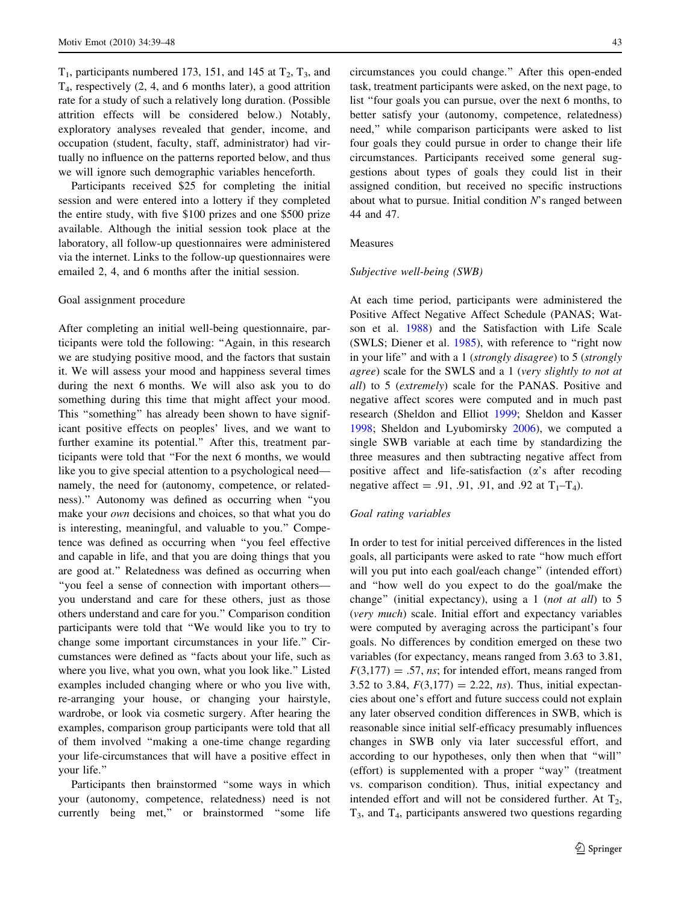$T_1$ , participants numbered 173, 151, and 145 at  $T_2$ ,  $T_3$ , and  $T<sub>4</sub>$ , respectively (2, 4, and 6 months later), a good attrition rate for a study of such a relatively long duration. (Possible attrition effects will be considered below.) Notably, exploratory analyses revealed that gender, income, and occupation (student, faculty, staff, administrator) had virtually no influence on the patterns reported below, and thus we will ignore such demographic variables henceforth.

Participants received \$25 for completing the initial session and were entered into a lottery if they completed the entire study, with five \$100 prizes and one \$500 prize available. Although the initial session took place at the laboratory, all follow-up questionnaires were administered via the internet. Links to the follow-up questionnaires were emailed 2, 4, and 6 months after the initial session.

# Goal assignment procedure

After completing an initial well-being questionnaire, participants were told the following: ''Again, in this research we are studying positive mood, and the factors that sustain it. We will assess your mood and happiness several times during the next 6 months. We will also ask you to do something during this time that might affect your mood. This ''something'' has already been shown to have significant positive effects on peoples' lives, and we want to further examine its potential.'' After this, treatment participants were told that ''For the next 6 months, we would like you to give special attention to a psychological need namely, the need for (autonomy, competence, or relatedness).'' Autonomy was defined as occurring when ''you make your *own* decisions and choices, so that what you do is interesting, meaningful, and valuable to you.'' Competence was defined as occurring when ''you feel effective and capable in life, and that you are doing things that you are good at.'' Relatedness was defined as occurring when ''you feel a sense of connection with important others you understand and care for these others, just as those others understand and care for you.'' Comparison condition participants were told that ''We would like you to try to change some important circumstances in your life.'' Circumstances were defined as ''facts about your life, such as where you live, what you own, what you look like.'' Listed examples included changing where or who you live with, re-arranging your house, or changing your hairstyle, wardrobe, or look via cosmetic surgery. After hearing the examples, comparison group participants were told that all of them involved ''making a one-time change regarding your life-circumstances that will have a positive effect in your life.''

Participants then brainstormed ''some ways in which your (autonomy, competence, relatedness) need is not currently being met,'' or brainstormed ''some life circumstances you could change.'' After this open-ended task, treatment participants were asked, on the next page, to list ''four goals you can pursue, over the next 6 months, to better satisfy your (autonomy, competence, relatedness) need,'' while comparison participants were asked to list four goals they could pursue in order to change their life circumstances. Participants received some general suggestions about types of goals they could list in their assigned condition, but received no specific instructions about what to pursue. Initial condition  $N$ 's ranged between 44 and 47.

## Measures

## Subjective well-being (SWB)

At each time period, participants were administered the Positive Affect Negative Affect Schedule (PANAS; Watson et al. [1988\)](#page-9-0) and the Satisfaction with Life Scale (SWLS; Diener et al. [1985\)](#page-9-0), with reference to "right now in your life'' and with a 1 (strongly disagree) to 5 (strongly agree) scale for the SWLS and a 1 (very slightly to not at all) to 5 (extremely) scale for the PANAS. Positive and negative affect scores were computed and in much past research (Sheldon and Elliot [1999](#page-9-0); Sheldon and Kasser [1998](#page-9-0); Sheldon and Lyubomirsky [2006\)](#page-9-0), we computed a single SWB variable at each time by standardizing the three measures and then subtracting negative affect from positive affect and life-satisfaction  $(\alpha)$ 's after recoding negative affect = .91, .91, .91, and .92 at  $T_1 - T_4$ ).

## Goal rating variables

In order to test for initial perceived differences in the listed goals, all participants were asked to rate ''how much effort will you put into each goal/each change" (intended effort) and ''how well do you expect to do the goal/make the change'' (initial expectancy), using a 1 (not at all) to 5 (very much) scale. Initial effort and expectancy variables were computed by averaging across the participant's four goals. No differences by condition emerged on these two variables (for expectancy, means ranged from 3.63 to 3.81,  $F(3,177) = .57$ , ns; for intended effort, means ranged from 3.52 to 3.84,  $F(3,177) = 2.22$ , *ns*). Thus, initial expectancies about one's effort and future success could not explain any later observed condition differences in SWB, which is reasonable since initial self-efficacy presumably influences changes in SWB only via later successful effort, and according to our hypotheses, only then when that ''will'' (effort) is supplemented with a proper ''way'' (treatment vs. comparison condition). Thus, initial expectancy and intended effort and will not be considered further. At  $T_2$ ,  $T_3$ , and  $T_4$ , participants answered two questions regarding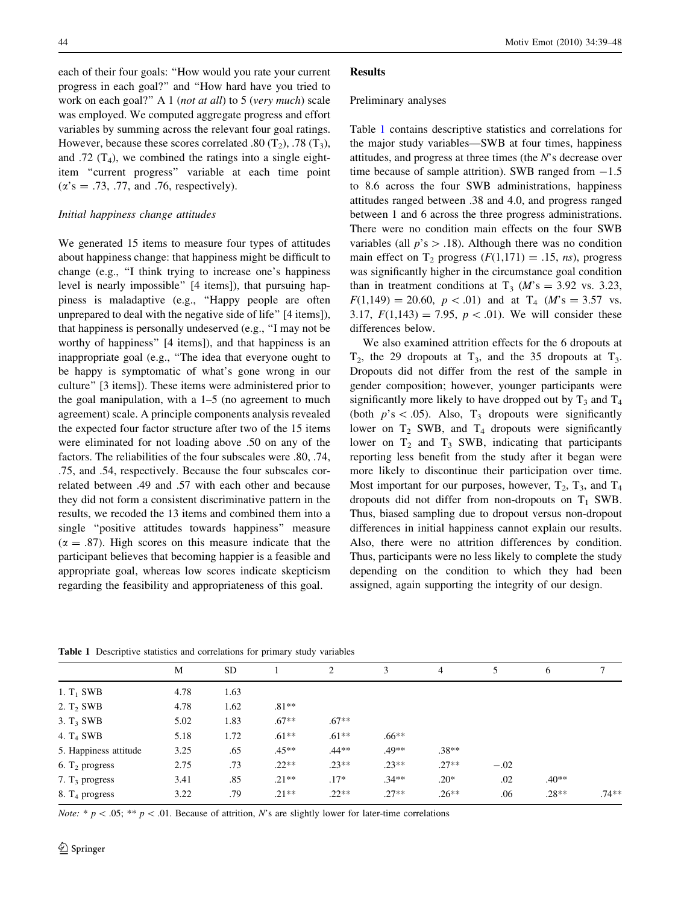<span id="page-5-0"></span>each of their four goals: ''How would you rate your current progress in each goal?'' and ''How hard have you tried to work on each goal?" A 1 (*not at all*) to 5 (*very much*) scale was employed. We computed aggregate progress and effort variables by summing across the relevant four goal ratings. However, because these scores correlated .80  $(T_2)$ , .78  $(T_3)$ , and .72  $(T_4)$ , we combined the ratings into a single eightitem ''current progress'' variable at each time point  $(\alpha's = .73, .77, \text{ and } .76, \text{ respectively}).$ 

### Initial happiness change attitudes

We generated 15 items to measure four types of attitudes about happiness change: that happiness might be difficult to change (e.g., ''I think trying to increase one's happiness level is nearly impossible'' [4 items]), that pursuing happiness is maladaptive (e.g., ''Happy people are often unprepared to deal with the negative side of life'' [4 items]), that happiness is personally undeserved (e.g., ''I may not be worthy of happiness'' [4 items]), and that happiness is an inappropriate goal (e.g., ''The idea that everyone ought to be happy is symptomatic of what's gone wrong in our culture'' [3 items]). These items were administered prior to the goal manipulation, with a  $1-5$  (no agreement to much agreement) scale. A principle components analysis revealed the expected four factor structure after two of the 15 items were eliminated for not loading above .50 on any of the factors. The reliabilities of the four subscales were .80, .74, .75, and .54, respectively. Because the four subscales correlated between .49 and .57 with each other and because they did not form a consistent discriminative pattern in the results, we recoded the 13 items and combined them into a single ''positive attitudes towards happiness'' measure  $(\alpha = .87)$ . High scores on this measure indicate that the participant believes that becoming happier is a feasible and appropriate goal, whereas low scores indicate skepticism regarding the feasibility and appropriateness of this goal.

## **Results**

#### Preliminary analyses

Table 1 contains descriptive statistics and correlations for the major study variables—SWB at four times, happiness attitudes, and progress at three times (the  $N$ 's decrease over time because of sample attrition). SWB ranged from  $-1.5$ to 8.6 across the four SWB administrations, happiness attitudes ranged between .38 and 4.0, and progress ranged between 1 and 6 across the three progress administrations. There were no condition main effects on the four SWB variables (all  $p$ 's  $>$  .18). Although there was no condition main effect on  $T_2$  progress  $(F(1,171) = .15, ns)$ , progress was significantly higher in the circumstance goal condition than in treatment conditions at  $T_3$  (*M*'s = 3.92 vs. 3.23,  $F(1,149) = 20.60, p < .01$  and at T<sub>4</sub> (M's = 3.57 vs. 3.17,  $F(1,143) = 7.95$ ,  $p < .01$ ). We will consider these differences below.

We also examined attrition effects for the 6 dropouts at  $T_2$ , the 29 dropouts at  $T_3$ , and the 35 dropouts at  $T_3$ . Dropouts did not differ from the rest of the sample in gender composition; however, younger participants were significantly more likely to have dropped out by  $T_3$  and  $T_4$ (both  $p$ 's < .05). Also, T<sub>3</sub> dropouts were significantly lower on  $T_2$  SWB, and  $T_4$  dropouts were significantly lower on  $T_2$  and  $T_3$  SWB, indicating that participants reporting less benefit from the study after it began were more likely to discontinue their participation over time. Most important for our purposes, however,  $T_2$ ,  $T_3$ , and  $T_4$ dropouts did not differ from non-dropouts on  $T_1$  SWB. Thus, biased sampling due to dropout versus non-dropout differences in initial happiness cannot explain our results. Also, there were no attrition differences by condition. Thus, participants were no less likely to complete the study depending on the condition to which they had been assigned, again supporting the integrity of our design.

|                            | M    | <b>SD</b> |         | 2       | 3       | 4       | 5.     | 6       |         |
|----------------------------|------|-----------|---------|---------|---------|---------|--------|---------|---------|
| 1. $T_1$ SWB               | 4.78 | 1.63      |         |         |         |         |        |         |         |
| 2. $T_2$ SWB               | 4.78 | 1.62      | $.81**$ |         |         |         |        |         |         |
| 3. T <sub>3</sub> SWB      | 5.02 | 1.83      | $.67**$ | $.67**$ |         |         |        |         |         |
| 4. $T_4$ SWB               | 5.18 | 1.72      | $.61**$ | $.61**$ | $.66**$ |         |        |         |         |
| 5. Happiness attitude      | 3.25 | .65       | $.45**$ | .44**   | $.49**$ | $.38**$ |        |         |         |
| 6. $T_2$ progress          | 2.75 | .73       | $.22**$ | $.23**$ | $.23**$ | $.27**$ | $-.02$ |         |         |
| 7. $T_3$ progress          | 3.41 | .85       | $.21**$ | $.17*$  | $.34**$ | $.20*$  | .02    | $.40**$ |         |
| 8. T <sub>4</sub> progress | 3.22 | .79       | $.21**$ | $.22**$ | $.27**$ | $.26**$ | .06    | $.28**$ | $.74**$ |

Table 1 Descriptive statistics and correlations for primary study variables

*Note:* \*  $p < .05$ ; \*\*  $p < .01$ . Because of attrition, N's are slightly lower for later-time correlations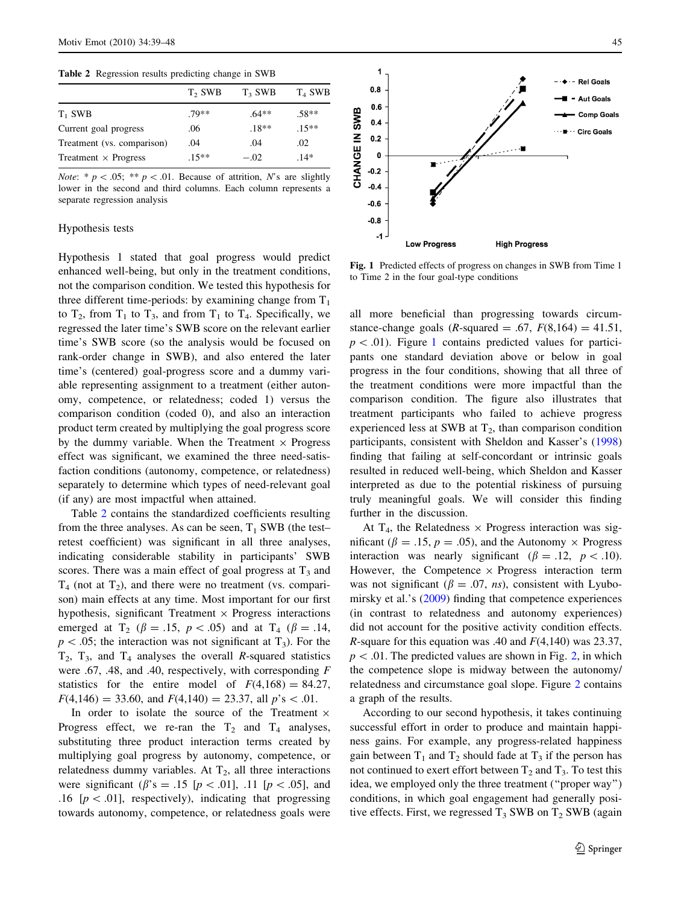<span id="page-6-0"></span>

|  | <b>Table 2</b> Regression results predicting change in SWB |  |  |  |  |
|--|------------------------------------------------------------|--|--|--|--|
|--|------------------------------------------------------------|--|--|--|--|

|                             | T <sub>2</sub> SWB | $T_3$ SWB | $T_4$ SWB |
|-----------------------------|--------------------|-----------|-----------|
| $T_1$ SWB                   | $.79**$            | $.64**$   | .58**     |
| Current goal progress       | .06                | $.18**$   | $.15**$   |
| Treatment (vs. comparison)  | .04                | .04       | .02       |
| Treatment $\times$ Progress | $15**$             | $-.02$    | $14*$     |
|                             |                    |           |           |

*Note*: \*  $p \lt .05$ ; \*\*  $p \lt .01$ . Because of attrition, N's are slightly lower in the second and third columns. Each column represents a separate regression analysis

## Hypothesis tests

Hypothesis 1 stated that goal progress would predict enhanced well-being, but only in the treatment conditions, not the comparison condition. We tested this hypothesis for three different time-periods: by examining change from  $T_1$ to  $T_2$ , from  $T_1$  to  $T_3$ , and from  $T_1$  to  $T_4$ . Specifically, we regressed the later time's SWB score on the relevant earlier time's SWB score (so the analysis would be focused on rank-order change in SWB), and also entered the later time's (centered) goal-progress score and a dummy variable representing assignment to a treatment (either autonomy, competence, or relatedness; coded 1) versus the comparison condition (coded 0), and also an interaction product term created by multiplying the goal progress score by the dummy variable. When the Treatment  $\times$  Progress effect was significant, we examined the three need-satisfaction conditions (autonomy, competence, or relatedness) separately to determine which types of need-relevant goal (if any) are most impactful when attained.

Table 2 contains the standardized coefficients resulting from the three analyses. As can be seen,  $T_1$  SWB (the test– retest coefficient) was significant in all three analyses, indicating considerable stability in participants' SWB scores. There was a main effect of goal progress at  $T_3$  and  $T_4$  (not at  $T_2$ ), and there were no treatment (vs. comparison) main effects at any time. Most important for our first hypothesis, significant Treatment  $\times$  Progress interactions emerged at  $T_2$  ( $\beta = .15$ ,  $p < .05$ ) and at  $T_4$  ( $\beta = .14$ ,  $p$  < .05; the interaction was not significant at T<sub>3</sub>). For the  $T_2$ ,  $T_3$ , and  $T_4$  analyses the overall R-squared statistics were .67, .48, and .40, respectively, with corresponding F statistics for the entire model of  $F(4,168) = 84.27$ ,  $F(4,146) = 33.60$ , and  $F(4,140) = 23.37$ , all  $p's < .01$ .

In order to isolate the source of the Treatment  $\times$ Progress effect, we re-ran the  $T_2$  and  $T_4$  analyses, substituting three product interaction terms created by multiplying goal progress by autonomy, competence, or relatedness dummy variables. At  $T_2$ , all three interactions were significant ( $\beta$ 's = .15 [ $p$  < .01], .11 [ $p$  < .05], and .16 [ $p < .01$ ], respectively), indicating that progressing towards autonomy, competence, or relatedness goals were



Fig. 1 Predicted effects of progress on changes in SWB from Time 1 to Time 2 in the four goal-type conditions

all more beneficial than progressing towards circumstance-change goals (R-squared  $= .67$ ,  $F(8,164) = 41.51$ ,  $p\lt 0.01$ ). Figure 1 contains predicted values for participants one standard deviation above or below in goal progress in the four conditions, showing that all three of the treatment conditions were more impactful than the comparison condition. The figure also illustrates that treatment participants who failed to achieve progress experienced less at SWB at  $T<sub>2</sub>$ , than comparison condition participants, consistent with Sheldon and Kasser's ([1998\)](#page-9-0) finding that failing at self-concordant or intrinsic goals resulted in reduced well-being, which Sheldon and Kasser interpreted as due to the potential riskiness of pursuing truly meaningful goals. We will consider this finding further in the discussion.

At  $T_4$ , the Relatedness  $\times$  Progress interaction was significant ( $\beta = .15$ ,  $p = .05$ ), and the Autonomy  $\times$  Progress interaction was nearly significant ( $\beta = .12$ ,  $p < .10$ ). However, the Competence  $\times$  Progress interaction term was not significant ( $\beta = .07$ , *ns*), consistent with Lyubomirsky et al.'s [\(2009](#page-9-0)) finding that competence experiences (in contrast to relatedness and autonomy experiences) did not account for the positive activity condition effects. *R*-square for this equation was .40 and  $F(4,140)$  was 23.37,  $p\lt 0.01$ . The predicted values are shown in Fig. [2,](#page-7-0) in which the competence slope is midway between the autonomy/ relatedness and circumstance goal slope. Figure [2](#page-7-0) contains a graph of the results.

According to our second hypothesis, it takes continuing successful effort in order to produce and maintain happiness gains. For example, any progress-related happiness gain between  $T_1$  and  $T_2$  should fade at  $T_3$  if the person has not continued to exert effort between  $T_2$  and  $T_3$ . To test this idea, we employed only the three treatment (''proper way'') conditions, in which goal engagement had generally positive effects. First, we regressed  $T_3$  SWB on  $T_2$  SWB (again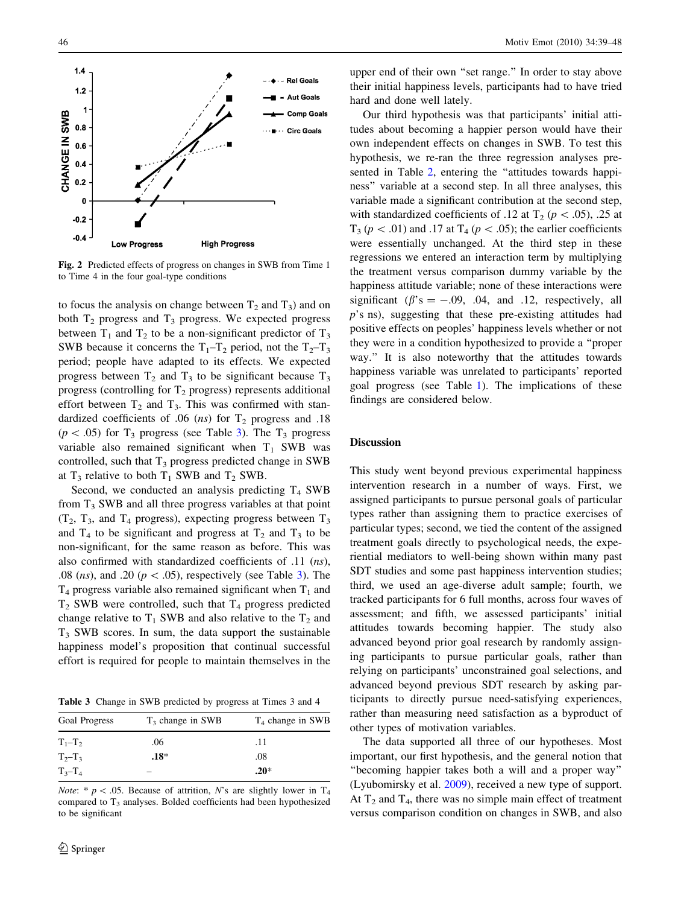<span id="page-7-0"></span>

Fig. 2 Predicted effects of progress on changes in SWB from Time 1 to Time 4 in the four goal-type conditions

to focus the analysis on change between  $T_2$  and  $T_3$ ) and on both  $T_2$  progress and  $T_3$  progress. We expected progress between  $T_1$  and  $T_2$  to be a non-significant predictor of  $T_3$ SWB because it concerns the  $T_1 - T_2$  period, not the  $T_2 - T_3$ period; people have adapted to its effects. We expected progress between  $T_2$  and  $T_3$  to be significant because  $T_3$ progress (controlling for  $T_2$  progress) represents additional effort between  $T_2$  and  $T_3$ . This was confirmed with standardized coefficients of .06 (*ns*) for  $T_2$  progress and .18  $(p < .05)$  for T<sub>3</sub> progress (see Table 3). The T<sub>3</sub> progress variable also remained significant when  $T_1$  SWB was controlled, such that  $T_3$  progress predicted change in SWB at  $T_3$  relative to both  $T_1$  SWB and  $T_2$  SWB.

Second, we conducted an analysis predicting  $T_4$  SWB from  $T_3$  SWB and all three progress variables at that point  $(T_2, T_3,$  and  $T_4$  progress), expecting progress between  $T_3$ and  $T_4$  to be significant and progress at  $T_2$  and  $T_3$  to be non-significant, for the same reason as before. This was also confirmed with standardized coefficients of .11 (ns), .08 (*ns*), and .20 ( $p < .05$ ), respectively (see Table 3). The  $T_4$  progress variable also remained significant when  $T_1$  and  $T_2$  SWB were controlled, such that  $T_4$  progress predicted change relative to  $T_1$  SWB and also relative to the  $T_2$  and  $T<sub>3</sub>$  SWB scores. In sum, the data support the sustainable happiness model's proposition that continual successful effort is required for people to maintain themselves in the

Table 3 Change in SWB predicted by progress at Times 3 and 4

| Goal Progress | $T_3$ change in SWB | $T_4$ change in SWB |  |  |
|---------------|---------------------|---------------------|--|--|
| $T_1 - T_2$   | .06                 | .11                 |  |  |
| $T_2 - T_3$   | $.18*$              | .08                 |  |  |
| $T_3 - T_4$   |                     | $.20*$              |  |  |

*Note*: \*  $p < .05$ . Because of attrition, N's are slightly lower in T<sub>4</sub> compared to  $T<sub>3</sub>$  analyses. Bolded coefficients had been hypothesized to be significant

upper end of their own ''set range.'' In order to stay above their initial happiness levels, participants had to have tried hard and done well lately.

Our third hypothesis was that participants' initial attitudes about becoming a happier person would have their own independent effects on changes in SWB. To test this hypothesis, we re-ran the three regression analyses presented in Table [2](#page-6-0), entering the ''attitudes towards happiness'' variable at a second step. In all three analyses, this variable made a significant contribution at the second step, with standardized coefficients of .12 at  $T_2$  ( $p \lt .05$ ), .25 at  $T_3$  ( $p\lt.01$ ) and .17 at  $T_4$  ( $p\lt.05$ ); the earlier coefficients were essentially unchanged. At the third step in these regressions we entered an interaction term by multiplying the treatment versus comparison dummy variable by the happiness attitude variable; none of these interactions were significant ( $\beta$ 's = -.09, .04, and .12, respectively, all  $p$ 's ns), suggesting that these pre-existing attitudes had positive effects on peoples' happiness levels whether or not they were in a condition hypothesized to provide a ''proper way.'' It is also noteworthy that the attitudes towards happiness variable was unrelated to participants' reported goal progress (see Table [1\)](#page-5-0). The implications of these findings are considered below.

# Discussion

This study went beyond previous experimental happiness intervention research in a number of ways. First, we assigned participants to pursue personal goals of particular types rather than assigning them to practice exercises of particular types; second, we tied the content of the assigned treatment goals directly to psychological needs, the experiential mediators to well-being shown within many past SDT studies and some past happiness intervention studies; third, we used an age-diverse adult sample; fourth, we tracked participants for 6 full months, across four waves of assessment; and fifth, we assessed participants' initial attitudes towards becoming happier. The study also advanced beyond prior goal research by randomly assigning participants to pursue particular goals, rather than relying on participants' unconstrained goal selections, and advanced beyond previous SDT research by asking participants to directly pursue need-satisfying experiences, rather than measuring need satisfaction as a byproduct of other types of motivation variables.

The data supported all three of our hypotheses. Most important, our first hypothesis, and the general notion that ''becoming happier takes both a will and a proper way'' (Lyubomirsky et al. [2009\)](#page-9-0), received a new type of support. At  $T_2$  and  $T_4$ , there was no simple main effect of treatment versus comparison condition on changes in SWB, and also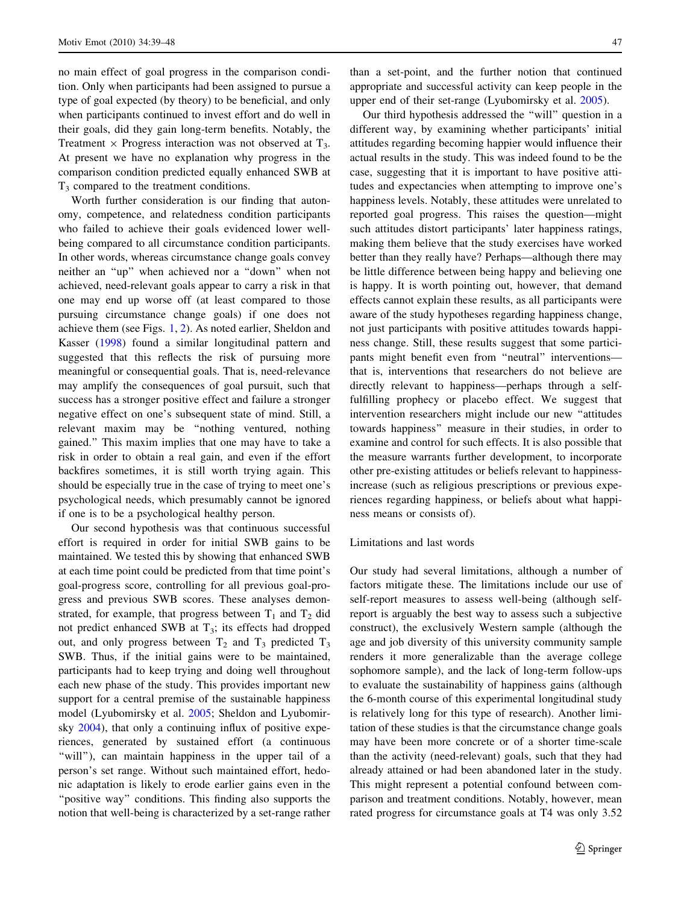no main effect of goal progress in the comparison condition. Only when participants had been assigned to pursue a type of goal expected (by theory) to be beneficial, and only when participants continued to invest effort and do well in their goals, did they gain long-term benefits. Notably, the Treatment  $\times$  Progress interaction was not observed at T<sub>3</sub>. At present we have no explanation why progress in the comparison condition predicted equally enhanced SWB at  $T<sub>3</sub>$  compared to the treatment conditions.

Worth further consideration is our finding that autonomy, competence, and relatedness condition participants who failed to achieve their goals evidenced lower wellbeing compared to all circumstance condition participants. In other words, whereas circumstance change goals convey neither an ''up'' when achieved nor a ''down'' when not achieved, need-relevant goals appear to carry a risk in that one may end up worse off (at least compared to those pursuing circumstance change goals) if one does not achieve them (see Figs. [1,](#page-6-0) [2\)](#page-7-0). As noted earlier, Sheldon and Kasser ([1998\)](#page-9-0) found a similar longitudinal pattern and suggested that this reflects the risk of pursuing more meaningful or consequential goals. That is, need-relevance may amplify the consequences of goal pursuit, such that success has a stronger positive effect and failure a stronger negative effect on one's subsequent state of mind. Still, a relevant maxim may be ''nothing ventured, nothing gained.'' This maxim implies that one may have to take a risk in order to obtain a real gain, and even if the effort backfires sometimes, it is still worth trying again. This should be especially true in the case of trying to meet one's psychological needs, which presumably cannot be ignored if one is to be a psychological healthy person.

Our second hypothesis was that continuous successful effort is required in order for initial SWB gains to be maintained. We tested this by showing that enhanced SWB at each time point could be predicted from that time point's goal-progress score, controlling for all previous goal-progress and previous SWB scores. These analyses demonstrated, for example, that progress between  $T_1$  and  $T_2$  did not predict enhanced SWB at  $T_3$ ; its effects had dropped out, and only progress between  $T_2$  and  $T_3$  predicted  $T_3$ SWB. Thus, if the initial gains were to be maintained, participants had to keep trying and doing well throughout each new phase of the study. This provides important new support for a central premise of the sustainable happiness model (Lyubomirsky et al. [2005;](#page-9-0) Sheldon and Lyubomirsky [2004](#page-9-0)), that only a continuing influx of positive experiences, generated by sustained effort (a continuous "will"), can maintain happiness in the upper tail of a person's set range. Without such maintained effort, hedonic adaptation is likely to erode earlier gains even in the "positive way" conditions. This finding also supports the notion that well-being is characterized by a set-range rather

than a set-point, and the further notion that continued appropriate and successful activity can keep people in the upper end of their set-range (Lyubomirsky et al. [2005\)](#page-9-0).

Our third hypothesis addressed the ''will'' question in a different way, by examining whether participants' initial attitudes regarding becoming happier would influence their actual results in the study. This was indeed found to be the case, suggesting that it is important to have positive attitudes and expectancies when attempting to improve one's happiness levels. Notably, these attitudes were unrelated to reported goal progress. This raises the question—might such attitudes distort participants' later happiness ratings, making them believe that the study exercises have worked better than they really have? Perhaps—although there may be little difference between being happy and believing one is happy. It is worth pointing out, however, that demand effects cannot explain these results, as all participants were aware of the study hypotheses regarding happiness change, not just participants with positive attitudes towards happiness change. Still, these results suggest that some participants might benefit even from ''neutral'' interventions that is, interventions that researchers do not believe are directly relevant to happiness—perhaps through a selffulfilling prophecy or placebo effect. We suggest that intervention researchers might include our new ''attitudes towards happiness'' measure in their studies, in order to examine and control for such effects. It is also possible that the measure warrants further development, to incorporate other pre-existing attitudes or beliefs relevant to happinessincrease (such as religious prescriptions or previous experiences regarding happiness, or beliefs about what happiness means or consists of).

## Limitations and last words

Our study had several limitations, although a number of factors mitigate these. The limitations include our use of self-report measures to assess well-being (although selfreport is arguably the best way to assess such a subjective construct), the exclusively Western sample (although the age and job diversity of this university community sample renders it more generalizable than the average college sophomore sample), and the lack of long-term follow-ups to evaluate the sustainability of happiness gains (although the 6-month course of this experimental longitudinal study is relatively long for this type of research). Another limitation of these studies is that the circumstance change goals may have been more concrete or of a shorter time-scale than the activity (need-relevant) goals, such that they had already attained or had been abandoned later in the study. This might represent a potential confound between comparison and treatment conditions. Notably, however, mean rated progress for circumstance goals at T4 was only 3.52